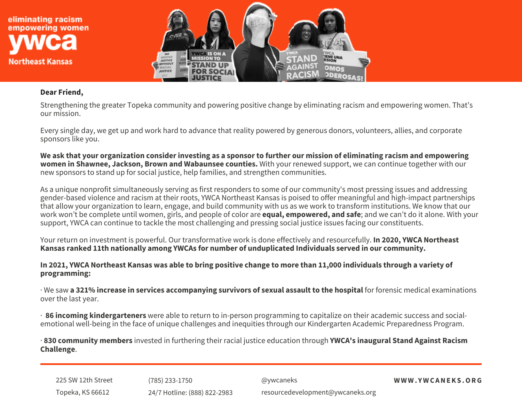

## **Dear Friend,**

Strengthening the greater Topeka community and powering positive change by eliminating racism and empowering women. That's our mission.

Every single day, we get up and work hard to advance that reality powered by generous donors, volunteers, allies, and corporate sponsors like you.

We ask that your organization consider investing as a sponsor to further our mission of eliminating racism and empowering **women in Shawnee, Jackson, Brown and Wabaunsee counties.** With your renewed support, we can continue together with our new sponsors to stand up for social justice, help families, and strengthen communities.

As a unique nonprofit simultaneously serving as first responders to some of our community's most pressing issues and addressing gender-based violence and racism at their roots, YWCA Northeast Kansas is poised to offer meaningful and high-impact partnerships that allow your organization to learn, engage, and build community with us as we work to transform institutions. We know that our work won't be complete until women, girls, and people of color are **equal, empowered, and safe**; and we can't do it alone. With your support, YWCA can continue to tackle the most challenging and pressing social justice issues facing our constituents.

Your return on investment is powerful. Our transformative work is done effectively and resourcefully. **In 2020, YWCA Northeast Kansas ranked 11th nationally among YWCAs for number of unduplicated Individuals served in our community.**

In 2021, YWCA Northeast Kansas was able to bring positive change to more than 11,000 individuals through a variety of **programming:**

· We saw **a 321% increase in services accompanying survivors of sexual assault to the hospital** for forensic medical examinations over the last year.

· **86 incoming kindergarteners** were able to return to in-person programming to capitalize on their academic success and socialemotional well-being in the face of unique challenges and inequities through our Kindergarten Academic Preparedness Program.

· **830 community members** invested in furthering their racial justice education through **YWCA's inaugural Stand Against Racism Challenge**.

225 SW 12th Street Topeka, KS 66612 (785) 233-1750 24/7 Hotline: (888) 822-2983 @ywcaneks **W W W . Y W C ANEKS .ORG** resourcedevelopment@ywcaneks.org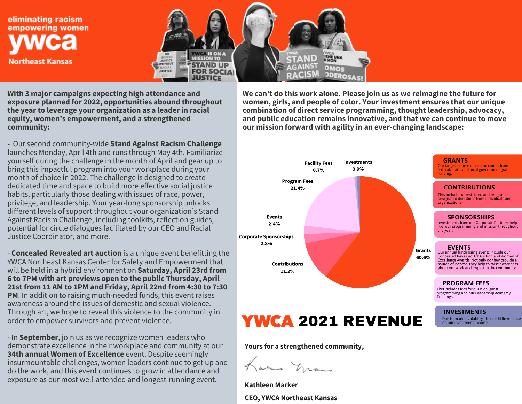eliminating racism empowering women **Northeast Kansas** 



**With 3 major campaigns expecting high attendance and exposure planned for 2022, opportunities abound throughout the year to leverage your organization as a leader in racial equity, women's empowerment, and a strengthened community:**

- Our second community-wide **Stand Against Racism Challenge** launches Monday, April 4th and runs through May 4th. Familiarize yourself during the challenge in the month of April and gear up to bring this impactful program into your workplace during your month of choice in 2022. The challenge is designed to create dedicated time and space to build more effective social justice habits, particularly those dealing with issues of race, power, privilege, and leadership. Your year-long sponsorship unlocks different levels of support throughout your organization's Stand Against Racism Challenge, including toolkits, reflection guides, potential for circle dialogues facilitated by our CEO and Racial Justice Coordinator, and more.

- **Concealed Revealed art auction** is a unique event benefitting the YWCA Northeast Kansas Center for Safety and Empowerment that will be held in a hybrid environment on **Saturday, April 23rd from 6 to 7PM with art previews open to the public Thursday, April 21st from 11 AM to 1PM and Friday, April 22nd from 4:30 to 7:30 PM**. In addition to raising much-needed funds, this event raises awareness around the issues of domestic and sexual violence. Through art, we hope to reveal this violence to the community in order to empower survivors and prevent violence.

- In **September**, join us as we recognize women leaders who demonstrate excellence in their workplace and community at our **34th annual Women of Excellence** event. Despite seemingly insurmountable challenges, women leaders continue to get up and do the work, and this event continues to grow in attendance and exposure as our most well-attended and longest-running event.

**We can't do this work alone. Please join us as we reimagine the future for women, girls, and people of color. Your investment ensures that our unique combination of direct service programming, thought leadership, advocacy, and public education remains innovative, and that we can continue to move our mission forward with agility in an ever-changing landscape:**



**Yours for <sup>a</sup> strengthened community,**

an na

**Kathleen Marker CEO, YWCA Northeast Kansas**